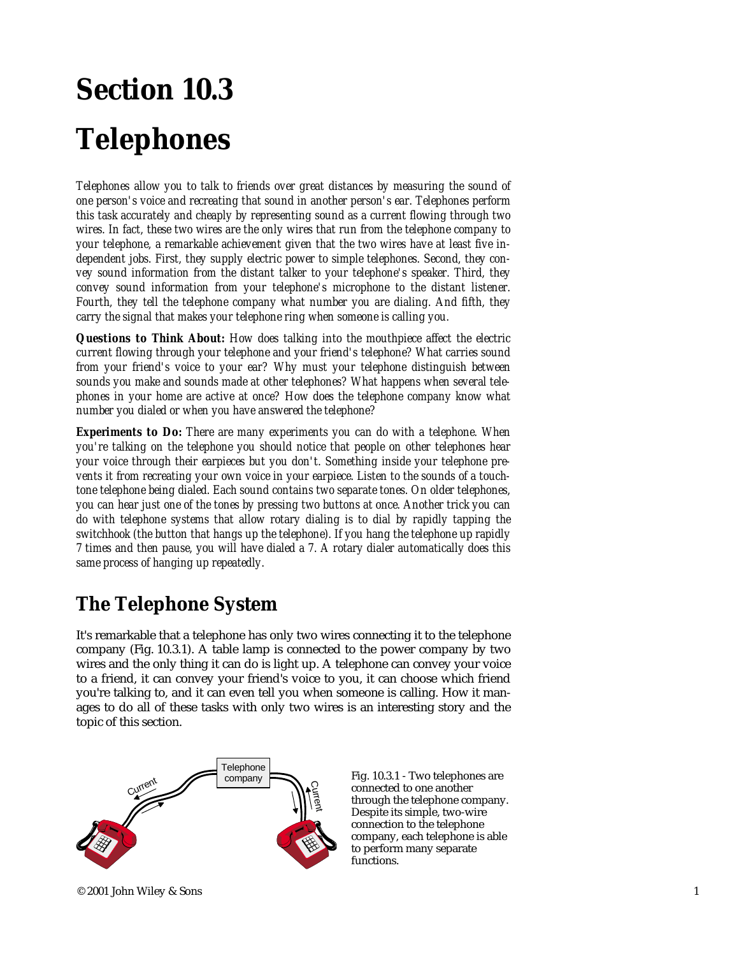# **Section 10.3 Telephones**

*Telephones allow you to talk to friends over great distances by measuring the sound of one person's voice and recreating that sound in another person's ear. Telephones perform this task accurately and cheaply by representing sound as a current flowing through two wires. In fact, these two wires are the only wires that run from the telephone company to your telephone, a remarkable achievement given that the two wires have at least five independent jobs. First, they supply electric power to simple telephones. Second, they convey sound information from the distant talker to your telephone's speaker. Third, they convey sound information from your telephone's microphone to the distant listener. Fourth, they tell the telephone company what number you are dialing. And fifth, they carry the signal that makes your telephone ring when someone is calling you.* 

*Questions to Think About: How does talking into the mouthpiece affect the electric current flowing through your telephone and your friend's telephone? What carries sound from your friend's voice to your ear? Why must your telephone distinguish between sounds you make and sounds made at other telephones? What happens when several telephones in your home are active at once? How does the telephone company know what number you dialed or when you have answered the telephone?* 

*Experiments to Do: There are many experiments you can do with a telephone. When you're talking on the telephone you should notice that people on other telephones hear your voice through their earpieces but you don't. Something inside your telephone prevents it from recreating your own voice in your earpiece. Listen to the sounds of a touchtone telephone being dialed. Each sound contains two separate tones. On older telephones, you can hear just one of the tones by pressing two buttons at once. Another trick you can do with telephone systems that allow rotary dialing is to dial by rapidly tapping the switchhook (the button that hangs up the telephone). If you hang the telephone up rapidly 7 times and then pause, you will have dialed a 7. A rotary dialer automatically does this same process of hanging up repeatedly.* 

## **The Telephone System**

It's remarkable that a telephone has only two wires connecting it to the telephone company (Fig. 10.3.1). A table lamp is connected to the power company by two wires and the only thing it can do is light up. A telephone can convey your voice to a friend, it can convey your friend's voice to you, it can choose which friend you're talking to, and it can even tell you when someone is calling. How it manages to do all of these tasks with only two wires is an interesting story and the topic of this section.



Fig. 10.3.1 - Two telephones are connected to one another through the telephone company. Despite its simple, two-wire connection to the telephone company, each telephone is able to perform many separate functions.

 $\degree$  2001 John Wiley & Sons 1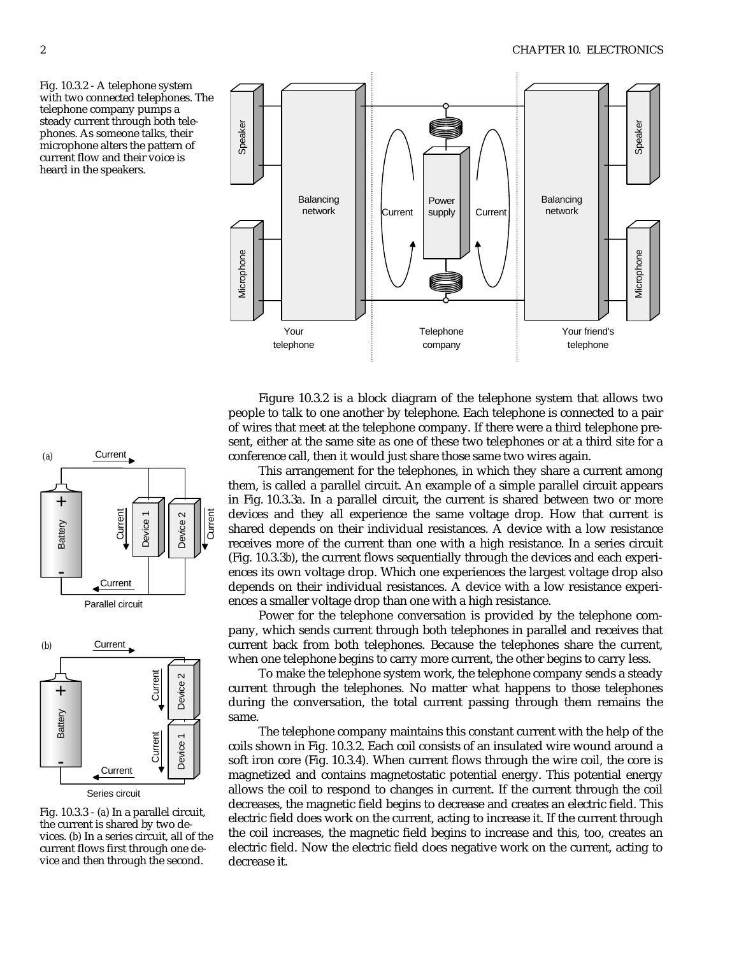Fig. 10.3.2 - A telephone system with two connected telephones. The telephone company pumps a steady current through both telephones. As someone talks, their microphone alters the pattern of current flow and their voice is heard in the speakers.







Fig. 10.3.3 - (*a*) In a parallel circuit, the current is shared by two devices. (*b*) In a series circuit, all of the current flows first through one device and then through the second.

Figure 10.3.2 is a block diagram of the telephone system that allows two people to talk to one another by telephone. Each telephone is connected to a pair of wires that meet at the telephone company. If there were a third telephone present, either at the same site as one of these two telephones or at a third site for a conference call, then it would just share those same two wires again.

This arrangement for the telephones, in which they share a current among them, is called a parallel circuit. An example of a simple parallel circuit appears in Fig. 10.3.3*a*. In a parallel circuit, the current is shared between two or more devices and they all experience the same voltage drop. How that current is shared depends on their individual resistances. A device with a low resistance receives more of the current than one with a high resistance. In a series circuit (Fig. 10.3.3*b*), the current flows sequentially through the devices and each experiences its own voltage drop. Which one experiences the largest voltage drop also depends on their individual resistances. A device with a low resistance experiences a smaller voltage drop than one with a high resistance.

Power for the telephone conversation is provided by the telephone company, which sends current through both telephones in parallel and receives that current back from both telephones. Because the telephones share the current, when one telephone begins to carry more current, the other begins to carry less.

To make the telephone system work, the telephone company sends a steady current through the telephones. No matter what happens to those telephones during the conversation, the total current passing through them remains the same.

The telephone company maintains this constant current with the help of the coils shown in Fig. 10.3.2. Each coil consists of an insulated wire wound around a soft iron core (Fig. 10.3.4). When current flows through the wire coil, the core is magnetized and contains magnetostatic potential energy. This potential energy allows the coil to respond to changes in current. If the current through the coil decreases, the magnetic field begins to decrease and creates an electric field. This electric field does work on the current, acting to increase it. If the current through the coil increases, the magnetic field begins to increase and this, too, creates an electric field. Now the electric field does negative work on the current, acting to decrease it.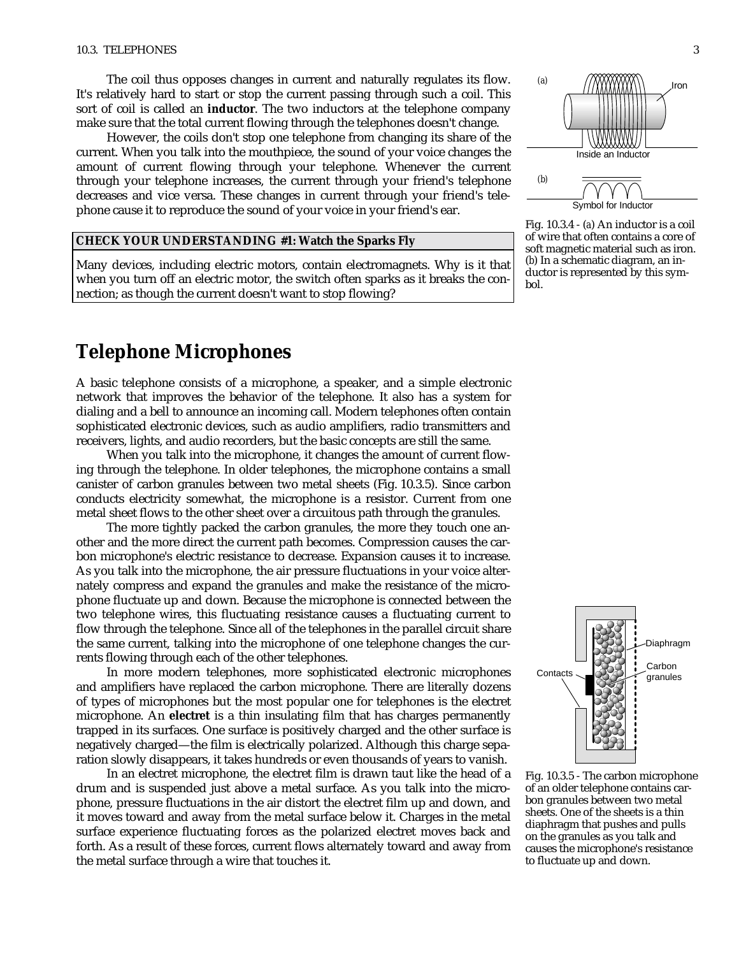The coil thus opposes changes in current and naturally regulates its flow. It's relatively hard to start or stop the current passing through such a coil. This sort of coil is called an **inductor**. The two inductors at the telephone company make sure that the total current flowing through the telephones doesn't change.

However, the coils don't stop one telephone from changing its share of the current. When you talk into the mouthpiece, the sound of your voice changes the amount of current flowing through your telephone. Whenever the current through your telephone increases, the current through your friend's telephone decreases and vice versa. These changes in current through your friend's telephone cause it to reproduce the sound of your voice in your friend's ear.

#### **CHECK YOUR UNDERSTANDING #1: Watch the Sparks Fly**

Many devices, including electric motors, contain electromagnets. Why is it that when you turn off an electric motor, the switch often sparks as it breaks the connection; as though the current doesn't want to stop flowing?

## **Telephone Microphones**

A basic telephone consists of a microphone, a speaker, and a simple electronic network that improves the behavior of the telephone. It also has a system for dialing and a bell to announce an incoming call. Modern telephones often contain sophisticated electronic devices, such as audio amplifiers, radio transmitters and receivers, lights, and audio recorders, but the basic concepts are still the same.

When you talk into the microphone, it changes the amount of current flowing through the telephone. In older telephones, the microphone contains a small canister of carbon granules between two metal sheets (Fig. 10.3.5). Since carbon conducts electricity somewhat, the microphone is a resistor. Current from one metal sheet flows to the other sheet over a circuitous path through the granules.

The more tightly packed the carbon granules, the more they touch one another and the more direct the current path becomes. Compression causes the carbon microphone's electric resistance to decrease. Expansion causes it to increase. As you talk into the microphone, the air pressure fluctuations in your voice alternately compress and expand the granules and make the resistance of the microphone fluctuate up and down. Because the microphone is connected between the two telephone wires, this fluctuating resistance causes a fluctuating current to flow through the telephone. Since all of the telephones in the parallel circuit share the same current, talking into the microphone of one telephone changes the currents flowing through each of the other telephones.

In more modern telephones, more sophisticated electronic microphones and amplifiers have replaced the carbon microphone. There are literally dozens of types of microphones but the most popular one for telephones is the electret microphone. An **electret** is a thin insulating film that has charges permanently trapped in its surfaces. One surface is positively charged and the other surface is negatively charged—the film is electrically polarized. Although this charge separation slowly disappears, it takes hundreds or even thousands of years to vanish.

In an electret microphone, the electret film is drawn taut like the head of a drum and is suspended just above a metal surface. As you talk into the microphone, pressure fluctuations in the air distort the electret film up and down, and it moves toward and away from the metal surface below it. Charges in the metal surface experience fluctuating forces as the polarized electret moves back and forth. As a result of these forces, current flows alternately toward and away from the metal surface through a wire that touches it.



Fig. 10.3.4 - (*a*) An inductor is a coil of wire that often contains a core of soft magnetic material such as iron. (*b*) In a schematic diagram, an inductor is represented by this symbol.



Fig. 10.3.5 - The carbon microphone of an older telephone contains carbon granules between two metal sheets. One of the sheets is a thin diaphragm that pushes and pulls on the granules as you talk and causes the microphone's resistance to fluctuate up and down.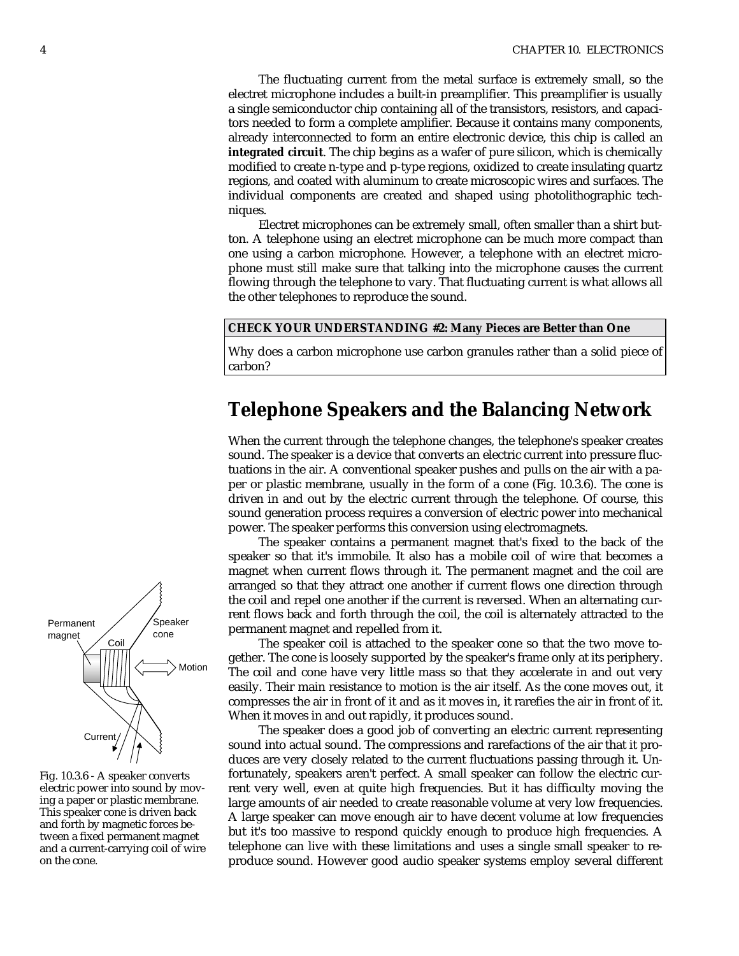The fluctuating current from the metal surface is extremely small, so the electret microphone includes a built-in preamplifier. This preamplifier is usually a single semiconductor chip containing all of the transistors, resistors, and capacitors needed to form a complete amplifier. Because it contains many components, already interconnected to form an entire electronic device, this chip is called an **integrated circuit**. The chip begins as a wafer of pure silicon, which is chemically modified to create n-type and p-type regions, oxidized to create insulating quartz regions, and coated with aluminum to create microscopic wires and surfaces. The individual components are created and shaped using photolithographic techniques.

Electret microphones can be extremely small, often smaller than a shirt button. A telephone using an electret microphone can be much more compact than one using a carbon microphone. However, a telephone with an electret microphone must still make sure that talking into the microphone causes the current flowing through the telephone to vary. That fluctuating current is what allows all the other telephones to reproduce the sound.

#### **CHECK YOUR UNDERSTANDING #2: Many Pieces are Better than One**

Why does a carbon microphone use carbon granules rather than a solid piece of carbon?

## **Telephone Speakers and the Balancing Network**

When the current through the telephone changes, the telephone's speaker creates sound. The speaker is a device that converts an electric current into pressure fluctuations in the air. A conventional speaker pushes and pulls on the air with a paper or plastic membrane, usually in the form of a cone (Fig. 10.3.6). The cone is driven in and out by the electric current through the telephone. Of course, this sound generation process requires a conversion of electric power into mechanical power. The speaker performs this conversion using electromagnets.

The speaker contains a permanent magnet that's fixed to the back of the speaker so that it's immobile. It also has a mobile coil of wire that becomes a magnet when current flows through it. The permanent magnet and the coil are arranged so that they attract one another if current flows one direction through the coil and repel one another if the current is reversed. When an alternating current flows back and forth through the coil, the coil is alternately attracted to the permanent magnet and repelled from it.

The speaker coil is attached to the speaker cone so that the two move together. The cone is loosely supported by the speaker's frame only at its periphery. The coil and cone have very little mass so that they accelerate in and out very easily. Their main resistance to motion is the air itself. As the cone moves out, it compresses the air in front of it and as it moves in, it rarefies the air in front of it. When it moves in and out rapidly, it produces sound.

The speaker does a good job of converting an electric current representing sound into actual sound. The compressions and rarefactions of the air that it produces are very closely related to the current fluctuations passing through it. Unfortunately, speakers aren't perfect. A small speaker can follow the electric current very well, even at quite high frequencies. But it has difficulty moving the large amounts of air needed to create reasonable volume at very low frequencies. A large speaker can move enough air to have decent volume at low frequencies but it's too massive to respond quickly enough to produce high frequencies. A telephone can live with these limitations and uses a single small speaker to reproduce sound. However good audio speaker systems employ several different



Fig. 10.3.6 - A speaker converts electric power into sound by moving a paper or plastic membrane. This speaker cone is driven back and forth by magnetic forces between a fixed permanent magnet and a current-carrying coil of wire on the cone.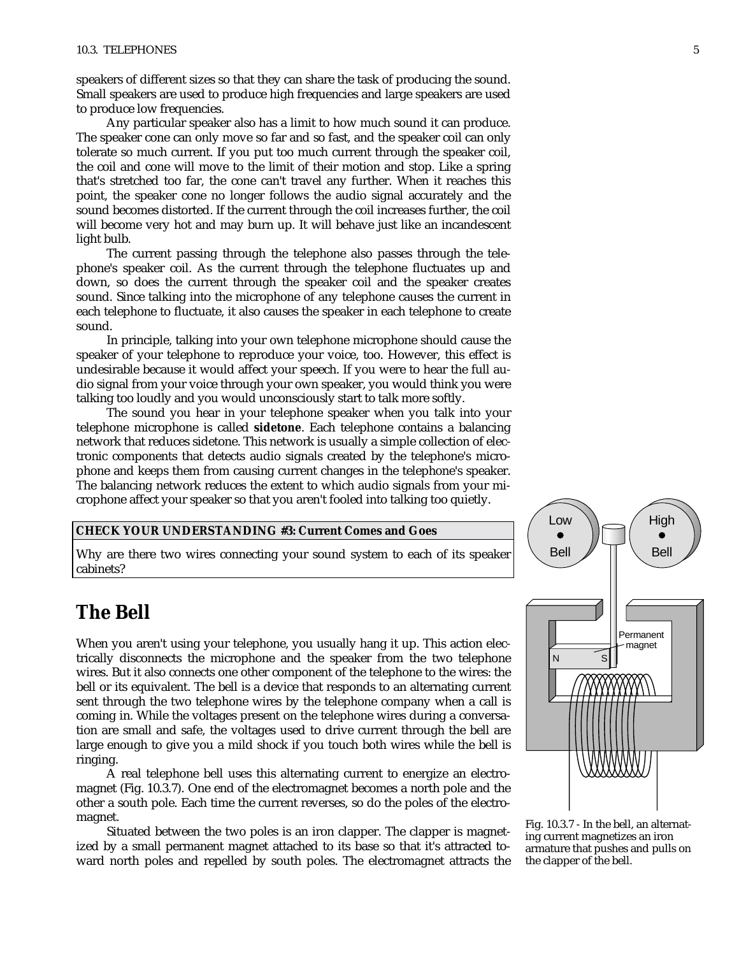speakers of different sizes so that they can share the task of producing the sound. Small speakers are used to produce high frequencies and large speakers are used to produce low frequencies.

Any particular speaker also has a limit to how much sound it can produce. The speaker cone can only move so far and so fast, and the speaker coil can only tolerate so much current. If you put too much current through the speaker coil, the coil and cone will move to the limit of their motion and stop. Like a spring that's stretched too far, the cone can't travel any further. When it reaches this point, the speaker cone no longer follows the audio signal accurately and the sound becomes distorted. If the current through the coil increases further, the coil will become very hot and may burn up. It will behave just like an incandescent light bulb.

The current passing through the telephone also passes through the telephone's speaker coil. As the current through the telephone fluctuates up and down, so does the current through the speaker coil and the speaker creates sound. Since talking into the microphone of any telephone causes the current in each telephone to fluctuate, it also causes the speaker in each telephone to create sound.

In principle, talking into your own telephone microphone should cause the speaker of your telephone to reproduce your voice, too. However, this effect is undesirable because it would affect your speech. If you were to hear the full audio signal from your voice through your own speaker, you would think you were talking too loudly and you would unconsciously start to talk more softly.

The sound you hear in your telephone speaker when you talk into your telephone microphone is called **sidetone**. Each telephone contains a balancing network that reduces sidetone. This network is usually a simple collection of electronic components that detects audio signals created by the telephone's microphone and keeps them from causing current changes in the telephone's speaker. The balancing network reduces the extent to which audio signals from your microphone affect your speaker so that you aren't fooled into talking too quietly.

#### **CHECK YOUR UNDERSTANDING #3: Current Comes and Goes**

Why are there two wires connecting your sound system to each of its speaker cabinets?

## **The Bell**

When you aren't using your telephone, you usually hang it up. This action electrically disconnects the microphone and the speaker from the two telephone wires. But it also connects one other component of the telephone to the wires: the bell or its equivalent. The bell is a device that responds to an alternating current sent through the two telephone wires by the telephone company when a call is coming in. While the voltages present on the telephone wires during a conversation are small and safe, the voltages used to drive current through the bell are large enough to give you a mild shock if you touch both wires while the bell is ringing.

A real telephone bell uses this alternating current to energize an electromagnet (Fig. 10.3.7). One end of the electromagnet becomes a north pole and the other a south pole. Each time the current reverses, so do the poles of the electromagnet.

Situated between the two poles is an iron clapper. The clapper is magnetized by a small permanent magnet attached to its base so that it's attracted toward north poles and repelled by south poles. The electromagnet attracts the



Fig. 10.3.7 - In the bell, an alternating current magnetizes an iron armature that pushes and pulls on the clapper of the bell.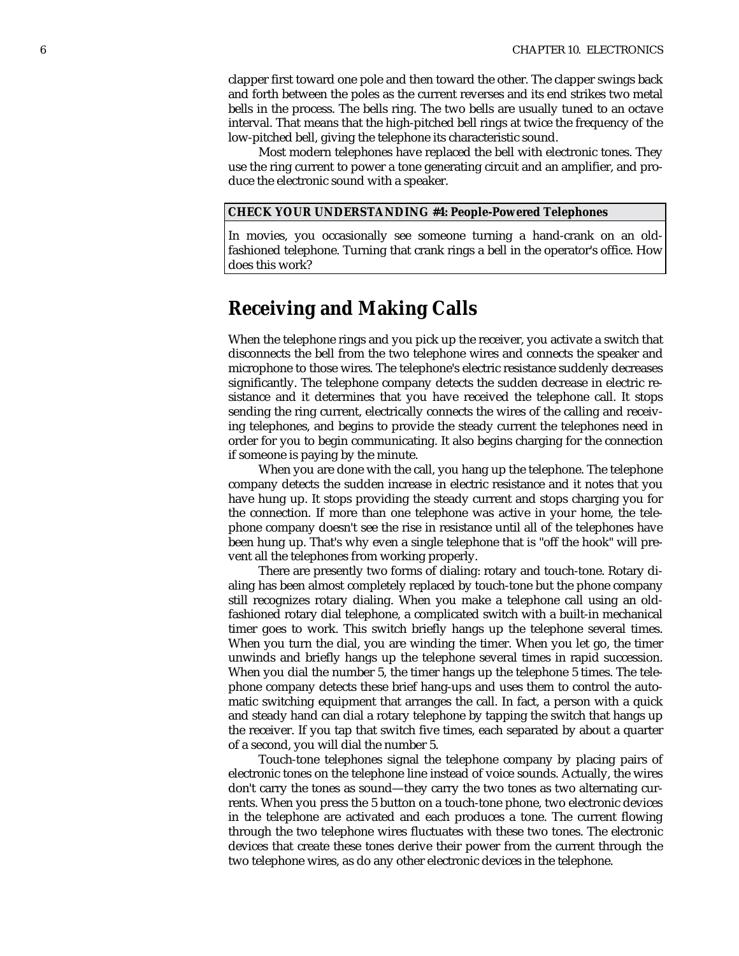clapper first toward one pole and then toward the other. The clapper swings back and forth between the poles as the current reverses and its end strikes two metal bells in the process. The bells ring. The two bells are usually tuned to an octave interval. That means that the high-pitched bell rings at twice the frequency of the low-pitched bell, giving the telephone its characteristic sound.

Most modern telephones have replaced the bell with electronic tones. They use the ring current to power a tone generating circuit and an amplifier, and produce the electronic sound with a speaker.

#### **CHECK YOUR UNDERSTANDING #4: People-Powered Telephones**

In movies, you occasionally see someone turning a hand-crank on an oldfashioned telephone. Turning that crank rings a bell in the operator's office. How does this work?

## **Receiving and Making Calls**

When the telephone rings and you pick up the receiver, you activate a switch that disconnects the bell from the two telephone wires and connects the speaker and microphone to those wires. The telephone's electric resistance suddenly decreases significantly. The telephone company detects the sudden decrease in electric resistance and it determines that you have received the telephone call. It stops sending the ring current, electrically connects the wires of the calling and receiving telephones, and begins to provide the steady current the telephones need in order for you to begin communicating. It also begins charging for the connection if someone is paying by the minute.

When you are done with the call, you hang up the telephone. The telephone company detects the sudden increase in electric resistance and it notes that you have hung up. It stops providing the steady current and stops charging you for the connection. If more than one telephone was active in your home, the telephone company doesn't see the rise in resistance until all of the telephones have been hung up. That's why even a single telephone that is "off the hook" will prevent all the telephones from working properly.

There are presently two forms of dialing: rotary and touch-tone. Rotary dialing has been almost completely replaced by touch-tone but the phone company still recognizes rotary dialing. When you make a telephone call using an oldfashioned rotary dial telephone, a complicated switch with a built-in mechanical timer goes to work. This switch briefly hangs up the telephone several times. When you turn the dial, you are winding the timer. When you let go, the timer unwinds and briefly hangs up the telephone several times in rapid succession. When you dial the number 5, the timer hangs up the telephone 5 times. The telephone company detects these brief hang-ups and uses them to control the automatic switching equipment that arranges the call. In fact, a person with a quick and steady hand can dial a rotary telephone by tapping the switch that hangs up the receiver. If you tap that switch five times, each separated by about a quarter of a second, you will dial the number 5.

Touch-tone telephones signal the telephone company by placing pairs of electronic tones on the telephone line instead of voice sounds. Actually, the wires don't carry the tones as sound—they carry the two tones as two alternating currents. When you press the 5 button on a touch-tone phone, two electronic devices in the telephone are activated and each produces a tone. The current flowing through the two telephone wires fluctuates with these two tones. The electronic devices that create these tones derive their power from the current through the two telephone wires, as do any other electronic devices in the telephone.